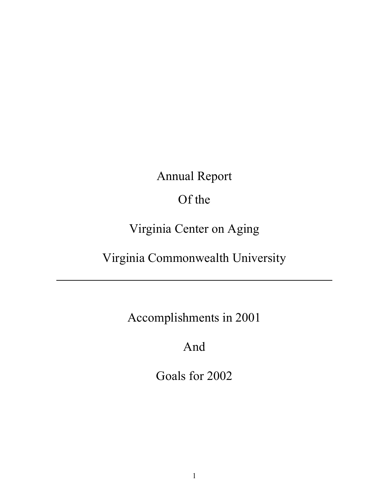Annual Report

Of the

Virginia Center on Aging

Virginia Commonwealth University

Accomplishments in 2001

And

Goals for 2002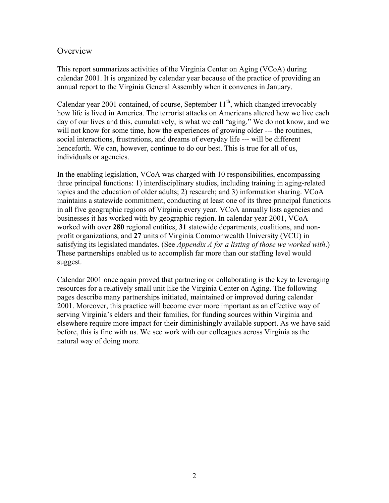#### **Overview**

This report summarizes activities of the Virginia Center on Aging (VCoA) during calendar 2001. It is organized by calendar year because of the practice of providing an annual report to the Virginia General Assembly when it convenes in January.

Calendar year 2001 contained, of course, September  $11<sup>th</sup>$ , which changed irrevocably how life is lived in America. The terrorist attacks on Americans altered how we live each day of our lives and this, cumulatively, is what we call "aging." We do not know, and we will not know for some time, how the experiences of growing older --- the routines, social interactions, frustrations, and dreams of everyday life --- will be different henceforth. We can, however, continue to do our best. This is true for all of us, individuals or agencies.

In the enabling legislation, VCoA was charged with 10 responsibilities, encompassing three principal functions: 1) interdisciplinary studies, including training in aging-related topics and the education of older adults; 2) research; and 3) information sharing. VCoA maintains a statewide commitment, conducting at least one of its three principal functions in all five geographic regions of Virginia every year. VCoA annually lists agencies and businesses it has worked with by geographic region. In calendar year 2001, VCoA worked with over **280** regional entities, **31** statewide departments, coalitions, and nonprofit organizations, and **27** units of Virginia Commonwealth University (VCU) in satisfying its legislated mandates. (See *Appendix A for a listing of those we worked with*.) These partnerships enabled us to accomplish far more than our staffing level would suggest.

Calendar 2001 once again proved that partnering or collaborating is the key to leveraging resources for a relatively small unit like the Virginia Center on Aging. The following pages describe many partnerships initiated, maintained or improved during calendar 2001. Moreover, this practice will become ever more important as an effective way of serving Virginia's elders and their families, for funding sources within Virginia and elsewhere require more impact for their diminishingly available support. As we have said before, this is fine with us. We see work with our colleagues across Virginia as the natural way of doing more.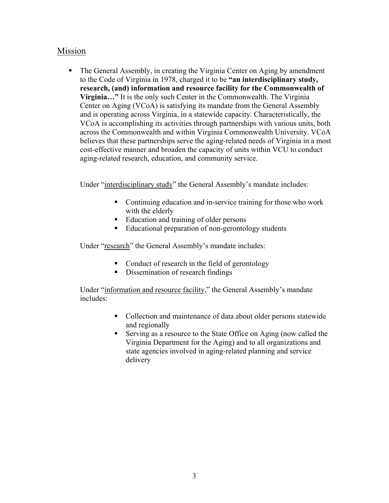## Mission

 The General Assembly, in creating the Virginia Center on Aging by amendment to the Code of Virginia in 1978, charged it to be **"an interdisciplinary study, research, (and) information and resource facility for the Commonwealth of Virginia…"** It is the only such Center in the Commonwealth. The Virginia Center on Aging (VCoA) is satisfying its mandate from the General Assembly and is operating across Virginia, in a statewide capacity. Characteristically, the VCoA is accomplishing its activities through partnerships with various units, both across the Commonwealth and within Virginia Commonwealth University. VCoA believes that these partnerships serve the aging-related needs of Virginia in a most cost-effective manner and broaden the capacity of units within VCU to conduct aging-related research, education, and community service.

Under "interdisciplinary study" the General Assembly's mandate includes:

- Continuing education and in-service training for those who work with the elderly
- Education and training of older persons
- Educational preparation of non-gerontology students

Under "research" the General Assembly's mandate includes:

- Conduct of research in the field of gerontology
- Dissemination of research findings

Under "information and resource facility," the General Assembly's mandate includes:

- Collection and maintenance of data about older persons statewide and regionally
- Serving as a resource to the State Office on Aging (now called the Virginia Department for the Aging) and to all organizations and state agencies involved in aging-related planning and service delivery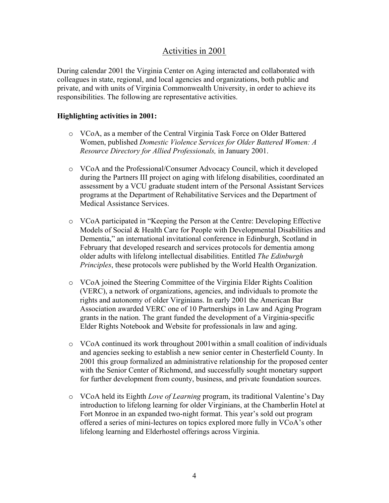## Activities in 2001

During calendar 2001 the Virginia Center on Aging interacted and collaborated with colleagues in state, regional, and local agencies and organizations, both public and private, and with units of Virginia Commonwealth University, in order to achieve its responsibilities. The following are representative activities.

#### **Highlighting activities in 2001:**

- o VCoA, as a member of the Central Virginia Task Force on Older Battered Women, published *Domestic Violence Services for Older Battered Women: A Resource Directory for Allied Professionals,* in January 2001.
- o VCoA and the Professional/Consumer Advocacy Council, which it developed during the Partners III project on aging with lifelong disabilities, coordinated an assessment by a VCU graduate student intern of the Personal Assistant Services programs at the Department of Rehabilitative Services and the Department of Medical Assistance Services.
- o VCoA participated in "Keeping the Person at the Centre: Developing Effective Models of Social & Health Care for People with Developmental Disabilities and Dementia," an international invitational conference in Edinburgh, Scotland in February that developed research and services protocols for dementia among older adults with lifelong intellectual disabilities. Entitled *The Edinburgh Principles*, these protocols were published by the World Health Organization.
- o VCoA joined the Steering Committee of the Virginia Elder Rights Coalition (VERC), a network of organizations, agencies, and individuals to promote the rights and autonomy of older Virginians. In early 2001 the American Bar Association awarded VERC one of 10 Partnerships in Law and Aging Program grants in the nation. The grant funded the development of a Virginia-specific Elder Rights Notebook and Website for professionals in law and aging.
- $\circ$  VCoA continued its work throughout 2001 within a small coalition of individuals and agencies seeking to establish a new senior center in Chesterfield County. In 2001 this group formalized an administrative relationship for the proposed center with the Senior Center of Richmond, and successfully sought monetary support for further development from county, business, and private foundation sources.
- o VCoA held its Eighth *Love of Learning* program, its traditional Valentine's Day introduction to lifelong learning for older Virginians, at the Chamberlin Hotel at Fort Monroe in an expanded two-night format. This year's sold out program offered a series of mini-lectures on topics explored more fully in VCoA's other lifelong learning and Elderhostel offerings across Virginia.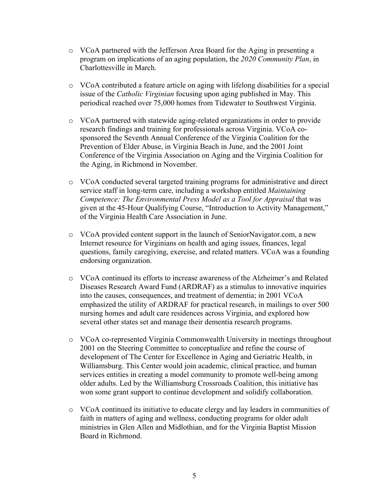- o VCoA partnered with the Jefferson Area Board for the Aging in presenting a program on implications of an aging population, the *2020 Community Plan*, in Charlottesville in March.
- o VCoA contributed a feature article on aging with lifelong disabilities for a special issue of the *Catholic Virginian* focusing upon aging published in May. This periodical reached over 75,000 homes from Tidewater to Southwest Virginia.
- o VCoA partnered with statewide aging-related organizations in order to provide research findings and training for professionals across Virginia. VCoA cosponsored the Seventh Annual Conference of the Virginia Coalition for the Prevention of Elder Abuse, in Virginia Beach in June, and the 2001 Joint Conference of the Virginia Association on Aging and the Virginia Coalition for the Aging, in Richmond in November.
- o VCoA conducted several targeted training programs for administrative and direct service staff in long-term care, including a workshop entitled *Maintaining Competence: The Environmental Press Model as a Tool for Appraisal* that was given at the 45-Hour Qualifying Course, "Introduction to Activity Management," of the Virginia Health Care Association in June.
- o VCoA provided content support in the launch of SeniorNavigator.com, a new Internet resource for Virginians on health and aging issues, finances, legal questions, family caregiving, exercise, and related matters. VCoA was a founding endorsing organization.
- o VCoA continued its efforts to increase awareness of the Alzheimer's and Related Diseases Research Award Fund (ARDRAF) as a stimulus to innovative inquiries into the causes, consequences, and treatment of dementia; in 2001 VCoA emphasized the utility of ARDRAF for practical research, in mailings to over 500 nursing homes and adult care residences across Virginia, and explored how several other states set and manage their dementia research programs.
- o VCoA co-represented Virginia Commonwealth University in meetings throughout 2001 on the Steering Committee to conceptualize and refine the course of development of The Center for Excellence in Aging and Geriatric Health, in Williamsburg. This Center would join academic, clinical practice, and human services entities in creating a model community to promote well-being among older adults. Led by the Williamsburg Crossroads Coalition, this initiative has won some grant support to continue development and solidify collaboration.
- o VCoA continued its initiative to educate clergy and lay leaders in communities of faith in matters of aging and wellness, conducting programs for older adult ministries in Glen Allen and Midlothian, and for the Virginia Baptist Mission Board in Richmond.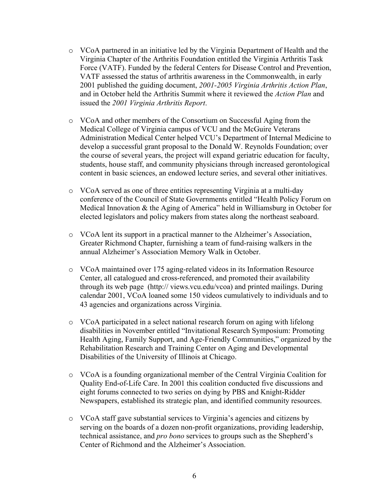- o VCoA partnered in an initiative led by the Virginia Department of Health and the Virginia Chapter of the Arthritis Foundation entitled the Virginia Arthritis Task Force (VATF). Funded by the federal Centers for Disease Control and Prevention, VATF assessed the status of arthritis awareness in the Commonwealth, in early 2001 published the guiding document, *2001-2005 Virginia Arthritis Action Plan*, and in October held the Arthritis Summit where it reviewed the *Action Plan* and issued the *2001 Virginia Arthritis Report*.
- o VCoA and other members of the Consortium on Successful Aging from the Medical College of Virginia campus of VCU and the McGuire Veterans Administration Medical Center helped VCU's Department of Internal Medicine to develop a successful grant proposal to the Donald W. Reynolds Foundation; over the course of several years, the project will expand geriatric education for faculty, students, house staff, and community physicians through increased gerontological content in basic sciences, an endowed lecture series, and several other initiatives.
- o VCoA served as one of three entities representing Virginia at a multi-day conference of the Council of State Governments entitled "Health Policy Forum on Medical Innovation & the Aging of America" held in Williamsburg in October for elected legislators and policy makers from states along the northeast seaboard.
- o VCoA lent its support in a practical manner to the Alzheimer's Association, Greater Richmond Chapter, furnishing a team of fund-raising walkers in the annual Alzheimer's Association Memory Walk in October.
- o VCoA maintained over 175 aging-related videos in its Information Resource Center, all catalogued and cross-referenced, and promoted their availability through its web page (http:// views.vcu.edu/vcoa) and printed mailings. During calendar 2001, VCoA loaned some 150 videos cumulatively to individuals and to 43 agencies and organizations across Virginia.
- o VCoA participated in a select national research forum on aging with lifelong disabilities in November entitled "Invitational Research Symposium: Promoting Health Aging, Family Support, and Age-Friendly Communities," organized by the Rehabilitation Research and Training Center on Aging and Developmental Disabilities of the University of Illinois at Chicago.
- o VCoA is a founding organizational member of the Central Virginia Coalition for Quality End-of-Life Care. In 2001 this coalition conducted five discussions and eight forums connected to two series on dying by PBS and Knight-Ridder Newspapers, established its strategic plan, and identified community resources.
- o VCoA staff gave substantial services to Virginia's agencies and citizens by serving on the boards of a dozen non-profit organizations, providing leadership, technical assistance, and *pro bono* services to groups such as the Shepherd's Center of Richmond and the Alzheimer's Association.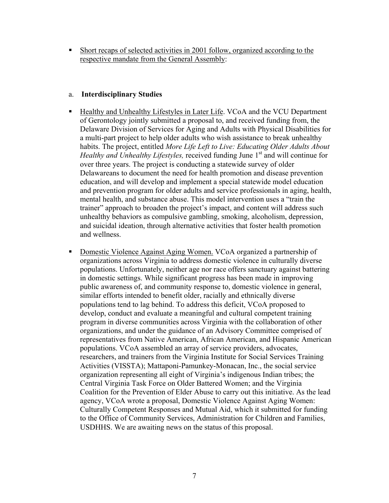Short recaps of selected activities in 2001 follow, organized according to the respective mandate from the General Assembly:

#### a. **Interdisciplinary Studies**

- Healthy and Unhealthy Lifestyles in Later Life. VCoA and the VCU Department of Gerontology jointly submitted a proposal to, and received funding from, the Delaware Division of Services for Aging and Adults with Physical Disabilities for a multi-part project to help older adults who wish assistance to break unhealthy habits. The project, entitled *More Life Left to Live: Educating Older Adults About Healthy and Unhealthy Lifestyles, received funding June 1<sup>st</sup> and will continue for* over three years. The project is conducting a statewide survey of older Delawareans to document the need for health promotion and disease prevention education, and will develop and implement a special statewide model education and prevention program for older adults and service professionals in aging, health, mental health, and substance abuse. This model intervention uses a "train the trainer" approach to broaden the project's impact, and content will address such unhealthy behaviors as compulsive gambling, smoking, alcoholism, depression, and suicidal ideation, through alternative activities that foster health promotion and wellness.
- Domestic Violence Against Aging Women. VCoA organized a partnership of organizations across Virginia to address domestic violence in culturally diverse populations. Unfortunately, neither age nor race offers sanctuary against battering in domestic settings. While significant progress has been made in improving public awareness of, and community response to, domestic violence in general, similar efforts intended to benefit older, racially and ethnically diverse populations tend to lag behind. To address this deficit, VCoA proposed to develop, conduct and evaluate a meaningful and cultural competent training program in diverse communities across Virginia with the collaboration of other organizations, and under the guidance of an Advisory Committee comprised of representatives from Native American, African American, and Hispanic American populations. VCoA assembled an array of service providers, advocates, researchers, and trainers from the Virginia Institute for Social Services Training Activities (VISSTA); Mattaponi-Pamunkey-Monacan, Inc., the social service organization representing all eight of Virginia's indigenous Indian tribes; the Central Virginia Task Force on Older Battered Women; and the Virginia Coalition for the Prevention of Elder Abuse to carry out this initiative. As the lead agency, VCoA wrote a proposal, Domestic Violence Against Aging Women: Culturally Competent Responses and Mutual Aid, which it submitted for funding to the Office of Community Services, Administration for Children and Families, USDHHS. We are awaiting news on the status of this proposal.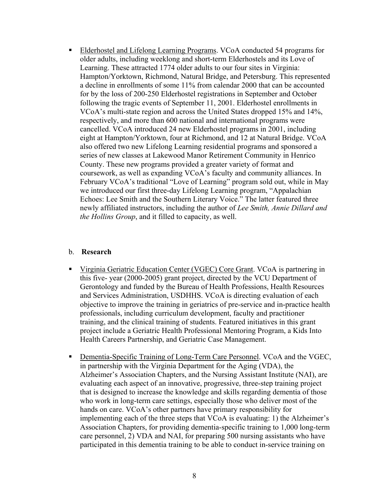**Elderhostel and Lifelong Learning Programs. VCoA conducted 54 programs for** older adults, including weeklong and short-term Elderhostels and its Love of Learning. These attracted 1774 older adults to our four sites in Virginia: Hampton/Yorktown, Richmond, Natural Bridge, and Petersburg. This represented a decline in enrollments of some 11% from calendar 2000 that can be accounted for by the loss of 200-250 Elderhostel registrations in September and October following the tragic events of September 11, 2001. Elderhostel enrollments in VCoA's multi-state region and across the United States dropped 15% and 14%, respectively, and more than 600 national and international programs were cancelled. VCoA introduced 24 new Elderhostel programs in 2001, including eight at Hampton/Yorktown, four at Richmond, and 12 at Natural Bridge. VCoA also offered two new Lifelong Learning residential programs and sponsored a series of new classes at Lakewood Manor Retirement Community in Henrico County. These new programs provided a greater variety of format and coursework, as well as expanding VCoA's faculty and community alliances. In February VCoA's traditional "Love of Learning" program sold out, while in May we introduced our first three-day Lifelong Learning program, "Appalachian Echoes: Lee Smith and the Southern Literary Voice." The latter featured three newly affiliated instructors, including the author of *Lee Smith, Annie Dillard and the Hollins Group*, and it filled to capacity, as well.

#### b. **Research**

- Virginia Geriatric Education Center (VGEC) Core Grant. VCoA is partnering in this five- year (2000-2005) grant project, directed by the VCU Department of Gerontology and funded by the Bureau of Health Professions, Health Resources and Services Administration, USDHHS. VCoA is directing evaluation of each objective to improve the training in geriatrics of pre-service and in-practice health professionals, including curriculum development, faculty and practitioner training, and the clinical training of students. Featured initiatives in this grant project include a Geriatric Health Professional Mentoring Program, a Kids Into Health Careers Partnership, and Geriatric Case Management.
- **Dementia-Specific Training of Long-Term Care Personnel. VCoA and the VGEC,** in partnership with the Virginia Department for the Aging (VDA), the Alzheimer's Association Chapters, and the Nursing Assistant Institute (NAI), are evaluating each aspect of an innovative, progressive, three-step training project that is designed to increase the knowledge and skills regarding dementia of those who work in long-term care settings, especially those who deliver most of the hands on care. VCoA's other partners have primary responsibility for implementing each of the three steps that VCoA is evaluating: 1) the Alzheimer's Association Chapters, for providing dementia-specific training to 1,000 long-term care personnel, 2) VDA and NAI, for preparing 500 nursing assistants who have participated in this dementia training to be able to conduct in-service training on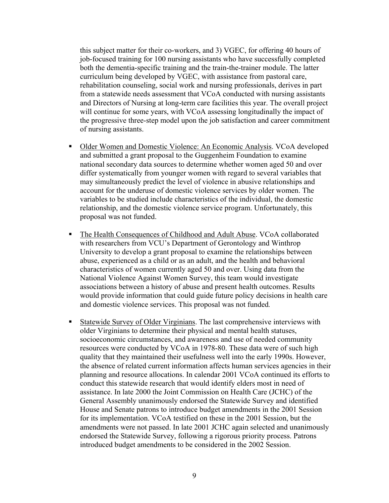this subject matter for their co-workers, and 3) VGEC, for offering 40 hours of job-focused training for 100 nursing assistants who have successfully completed both the dementia-specific training and the train-the-trainer module. The latter curriculum being developed by VGEC, with assistance from pastoral care, rehabilitation counseling, social work and nursing professionals, derives in part from a statewide needs assessment that VCoA conducted with nursing assistants and Directors of Nursing at long-term care facilities this year. The overall project will continue for some years, with VCoA assessing longitudinally the impact of the progressive three-step model upon the job satisfaction and career commitment of nursing assistants.

- Older Women and Domestic Violence: An Economic Analysis. VCoA developed and submitted a grant proposal to the Guggenheim Foundation to examine national secondary data sources to determine whether women aged 50 and over differ systematically from younger women with regard to several variables that may simultaneously predict the level of violence in abusive relationships and account for the underuse of domestic violence services by older women. The variables to be studied include characteristics of the individual, the domestic relationship, and the domestic violence service program. Unfortunately, this proposal was not funded.
- The Health Consequences of Childhood and Adult Abuse. VCoA collaborated with researchers from VCU's Department of Gerontology and Winthrop University to develop a grant proposal to examine the relationships between abuse, experienced as a child or as an adult, and the health and behavioral characteristics of women currently aged 50 and over. Using data from the National Violence Against Women Survey, this team would investigate associations between a history of abuse and present health outcomes. Results would provide information that could guide future policy decisions in health care and domestic violence services. This proposal was not funded*.*
- Statewide Survey of Older Virginians. The last comprehensive interviews with older Virginians to determine their physical and mental health statuses, socioeconomic circumstances, and awareness and use of needed community resources were conducted by VCoA in 1978-80. These data were of such high quality that they maintained their usefulness well into the early 1990s. However, the absence of related current information affects human services agencies in their planning and resource allocations. In calendar 2001 VCoA continued its efforts to conduct this statewide research that would identify elders most in need of assistance. In late 2000 the Joint Commission on Health Care (JCHC) of the General Assembly unanimously endorsed the Statewide Survey and identified House and Senate patrons to introduce budget amendments in the 2001 Session for its implementation. VCoA testified on these in the 2001 Session, but the amendments were not passed. In late 2001 JCHC again selected and unanimously endorsed the Statewide Survey, following a rigorous priority process. Patrons introduced budget amendments to be considered in the 2002 Session.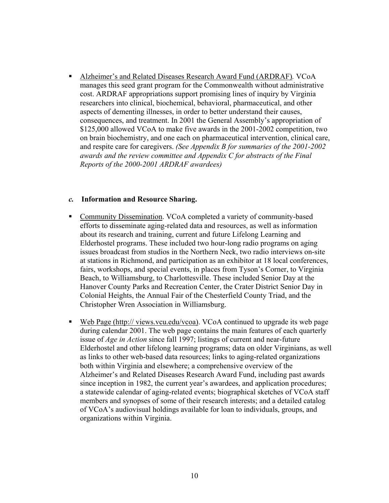Alzheimer's and Related Diseases Research Award Fund (ARDRAF)*.* VCoA manages this seed grant program for the Commonwealth without administrative cost. ARDRAF appropriations support promising lines of inquiry by Virginia researchers into clinical, biochemical, behavioral, pharmaceutical, and other aspects of dementing illnesses, in order to better understand their causes, consequences, and treatment. In 2001 the General Assembly's appropriation of \$125,000 allowed VCoA to make five awards in the 2001-2002 competition, two on brain biochemistry, and one each on pharmaceutical intervention, clinical care, and respite care for caregivers. *(See Appendix B for summaries of the 2001-2002 awards and the review committee and Appendix C for abstracts of the Final Reports of the 2000-2001 ARDRAF awardees)*

#### *c.* **Information and Resource Sharing.**

- Community Dissemination. VCoA completed a variety of community-based efforts to disseminate aging-related data and resources, as well as information about its research and training, current and future Lifelong Learning and Elderhostel programs. These included two hour-long radio programs on aging issues broadcast from studios in the Northern Neck, two radio interviews on-site at stations in Richmond, and participation as an exhibitor at 18 local conferences, fairs, workshops, and special events, in places from Tyson's Corner, to Virginia Beach, to Williamsburg, to Charlottesville. These included Senior Day at the Hanover County Parks and Recreation Center, the Crater District Senior Day in Colonial Heights, the Annual Fair of the Chesterfield County Triad, and the Christopher Wren Association in Williamsburg.
- Web Page (http:// views.vcu.edu/vcoa). VCoA continued to upgrade its web page during calendar 2001. The web page contains the main features of each quarterly issue of *Age in Action* since fall 1997; listings of current and near-future Elderhostel and other lifelong learning programs; data on older Virginians, as well as links to other web-based data resources; links to aging-related organizations both within Virginia and elsewhere; a comprehensive overview of the Alzheimer's and Related Diseases Research Award Fund, including past awards since inception in 1982, the current year's awardees, and application procedures; a statewide calendar of aging-related events; biographical sketches of VCoA staff members and synopses of some of their research interests; and a detailed catalog of VCoA's audiovisual holdings available for loan to individuals, groups, and organizations within Virginia.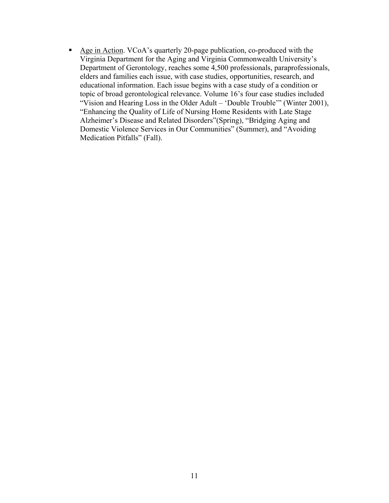Age in Action. VCoA's quarterly 20-page publication, co-produced with the Virginia Department for the Aging and Virginia Commonwealth University's Department of Gerontology, reaches some 4,500 professionals, paraprofessionals, elders and families each issue, with case studies, opportunities, research, and educational information. Each issue begins with a case study of a condition or topic of broad gerontological relevance. Volume 16's four case studies included "Vision and Hearing Loss in the Older Adult – 'Double Trouble'" (Winter 2001), "Enhancing the Quality of Life of Nursing Home Residents with Late Stage Alzheimer's Disease and Related Disorders"(Spring), "Bridging Aging and Domestic Violence Services in Our Communities" (Summer), and "Avoiding Medication Pitfalls" (Fall).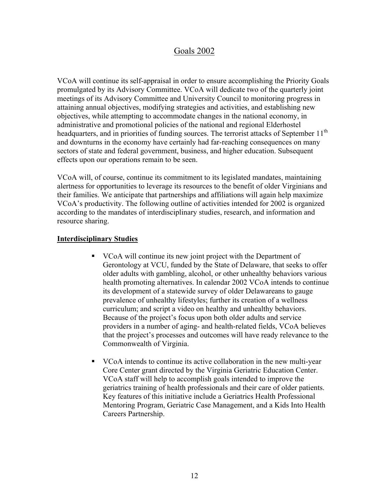## Goals 2002

VCoA will continue its self-appraisal in order to ensure accomplishing the Priority Goals promulgated by its Advisory Committee. VCoA will dedicate two of the quarterly joint meetings of its Advisory Committee and University Council to monitoring progress in attaining annual objectives, modifying strategies and activities, and establishing new objectives, while attempting to accommodate changes in the national economy, in administrative and promotional policies of the national and regional Elderhostel headquarters, and in priorities of funding sources. The terrorist attacks of September 11<sup>th</sup> and downturns in the economy have certainly had far-reaching consequences on many sectors of state and federal government, business, and higher education. Subsequent effects upon our operations remain to be seen.

VCoA will, of course, continue its commitment to its legislated mandates, maintaining alertness for opportunities to leverage its resources to the benefit of older Virginians and their families. We anticipate that partnerships and affiliations will again help maximize VCoA's productivity. The following outline of activities intended for 2002 is organized according to the mandates of interdisciplinary studies, research, and information and resource sharing.

#### **Interdisciplinary Studies**

- VCoA will continue its new joint project with the Department of Gerontology at VCU, funded by the State of Delaware, that seeks to offer older adults with gambling, alcohol, or other unhealthy behaviors various health promoting alternatives. In calendar 2002 VCoA intends to continue its development of a statewide survey of older Delawareans to gauge prevalence of unhealthy lifestyles; further its creation of a wellness curriculum; and script a video on healthy and unhealthy behaviors. Because of the project's focus upon both older adults and service providers in a number of aging- and health-related fields, VCoA believes that the project's processes and outcomes will have ready relevance to the Commonwealth of Virginia.
- VCoA intends to continue its active collaboration in the new multi-year Core Center grant directed by the Virginia Geriatric Education Center. VCoA staff will help to accomplish goals intended to improve the geriatrics training of health professionals and their care of older patients. Key features of this initiative include a Geriatrics Health Professional Mentoring Program, Geriatric Case Management, and a Kids Into Health Careers Partnership.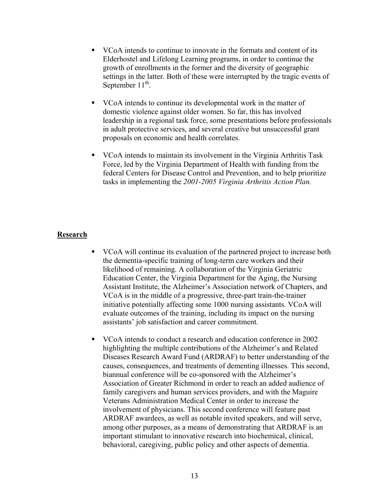- VCoA intends to continue to innovate in the formats and content of its Elderhostel and Lifelong Learning programs, in order to continue the growth of enrollments in the former and the diversity of geographic settings in the latter. Both of these were interrupted by the tragic events of September  $11^{th}$ .
- VCoA intends to continue its developmental work in the matter of domestic violence against older women. So far, this has involved leadership in a regional task force, some presentations before professionals in adult protective services, and several creative but unsuccessful grant proposals on economic and health correlates.
- VCoA intends to maintain its involvement in the Virginia Arthritis Task Force, led by the Virginia Department of Health with funding from the federal Centers for Disease Control and Prevention, and to help prioritize tasks in implementing the *2001-2005 Virginia Arthritis Action Plan.*

#### **Research**

- VCoA will continue its evaluation of the partnered project to increase both the dementia-specific training of long-term care workers and their likelihood of remaining. A collaboration of the Virginia Geriatric Education Center, the Virginia Department for the Aging, the Nursing Assistant Institute, the Alzheimer's Association network of Chapters, and VCoA is in the middle of a progressive, three-part train-the-trainer initiative potentially affecting some 1000 nursing assistants. VCoA will evaluate outcomes of the training, including its impact on the nursing assistants' job satisfaction and career commitment.
- VCoA intends to conduct a research and education conference in 2002 highlighting the multiple contributions of the Alzheimer's and Related Diseases Research Award Fund (ARDRAF) to better understanding of the causes, consequences, and treatments of dementing illnesses. This second, biannual conference will be co-sponsored with the Alzheimer's Association of Greater Richmond in order to reach an added audience of family caregivers and human services providers, and with the Maguire Veterans Administration Medical Center in order to increase the involvement of physicians. This second conference will feature past ARDRAF awardees, as well as notable invited speakers, and will serve, among other purposes, as a means of demonstrating that ARDRAF is an important stimulant to innovative research into biochemical, clinical, behavioral, caregiving, public policy and other aspects of dementia.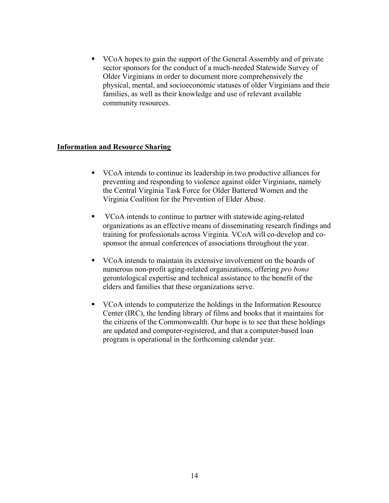VCoA hopes to gain the support of the General Assembly and of private sector sponsors for the conduct of a much-needed Statewide Survey of Older Virginians in order to document more comprehensively the physical, mental, and socioeconomic statuses of older Virginians and their families, as well as their knowledge and use of relevant available community resources.

#### **Information and Resource Sharing**

- VCoA intends to continue its leadership in two productive alliances for preventing and responding to violence against older Virginians, namely the Central Virginia Task Force for Older Battered Women and the Virginia Coalition for the Prevention of Elder Abuse.
- VCoA intends to continue to partner with statewide aging-related organizations as an effective means of disseminating research findings and training for professionals across Virginia. VCoA will co-develop and cosponsor the annual conferences of associations throughout the year.
- VCoA intends to maintain its extensive involvement on the boards of numerous non-profit aging-related organizations, offering *pro bono* gerontological expertise and technical assistance to the benefit of the elders and families that these organizations serve.
- VCoA intends to computerize the holdings in the Information Resource Center (IRC), the lending library of films and books that it maintains for the citizens of the Commonwealth. Our hope is to see that these holdings are updated and computer-registered, and that a computer-based loan program is operational in the forthcoming calendar year.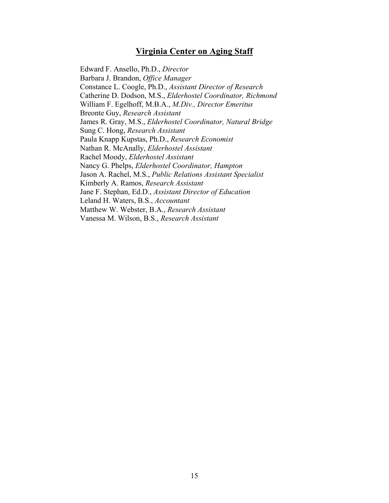### **Virginia Center on Aging Staff**

 Edward F. Ansello, Ph.D., *Director*  Barbara J. Brandon, *Office Manager* Constance L. Coogle, Ph.D., *Assistant Director of Research* Catherine D. Dodson, M.S., *Elderhostel Coordinator, Richmond*  William F. Egelhoff, M.B.A., *M.Div., Director Emeritus*  Breonte Guy, *Research Assistant* James R. Gray, M.S., *Elderhostel Coordinator, Natural Bridge*  Sung C. Hong, *Research Assistant* Paula Knapp Kupstas, Ph.D., *Research Economist*  Nathan R. McAnally, *Elderhostel Assistant*  Rachel Moody, *Elderhostel Assistant* Nancy G. Phelps, *Elderhostel Coordinator, Hampton* Jason A. Rachel, M.S., *Public Relations Assistant Specialist* Kimberly A. Ramos, *Research Assistant* Jane F. Stephan, Ed.D., *Assistant Director of Education* Leland H. Waters, B.S., *Accountant*  Matthew W. Webster, B.A., *Research Assistant*  Vanessa M. Wilson, B.S., *Research Assistant*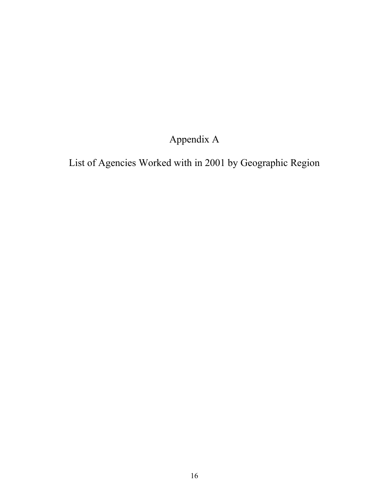# Appendix A

List of Agencies Worked with in 2001 by Geographic Region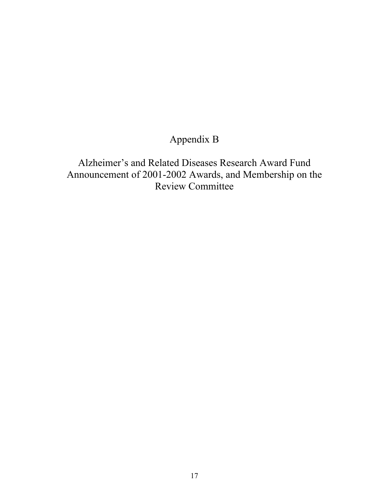## Appendix B

Alzheimer's and Related Diseases Research Award Fund Announcement of 2001-2002 Awards, and Membership on the Review Committee